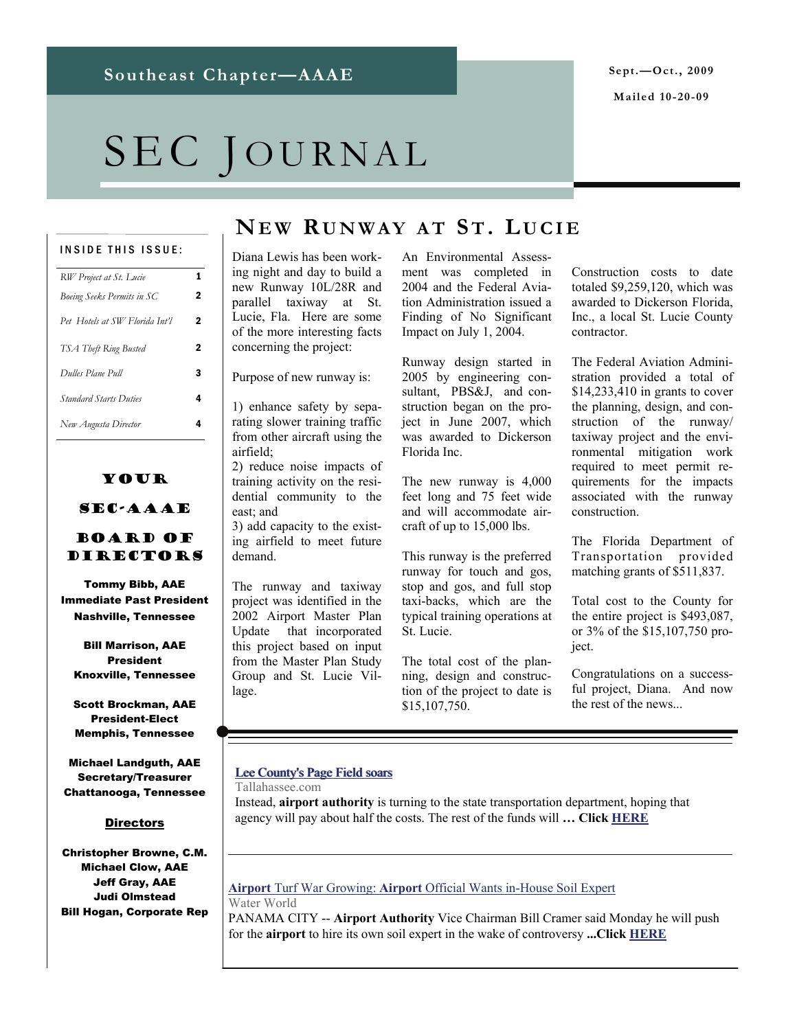# SEC JOURNAL

#### INSIDE THIS ISSUE:

| RW Project at St. Lucie        | 1 |
|--------------------------------|---|
| Boeing Seeks Permits in SC     | 2 |
| Pet Hotels at SW Florida Int'l | 2 |
| TSA Theft Ring Busted          | 2 |
| Dulles Plane Pull              | 3 |
| <b>Standard Starts Duties</b>  | 4 |
| New Augusta Director           | 4 |
|                                |   |

### Your SEC-AAAE

#### Board of Directors

Tommy Bibb, AAE Immediate Past President Nashville, Tennessee

Bill Marrison, AAE President Knoxville, Tennessee

Scott Brockman, AAE President-Elect Memphis, Tennessee

Michael Landguth, AAE Secretary/Treasurer Chattanooga, Tennessee

#### **Directors**

Christopher Browne, C.M. Michael Clow, AAE Jeff Gray, AAE Judi Olmstead Bill Hogan, Corporate Rep

## **NE W R UNWAY A T ST. L UCIE**

Diana Lewis has been working night and day to build a new Runway 10L/28R and parallel taxiway at St. Lucie, Fla. Here are some of the more interesting facts concerning the project:

Purpose of new runway is:

1) enhance safety by separating slower training traffic from other aircraft using the airfield;

2) reduce noise impacts of training activity on the residential community to the east; and

3) add capacity to the existing airfield to meet future demand.

The runway and taxiway project was identified in the 2002 Airport Master Plan Update that incorporated this project based on input from the Master Plan Study Group and St. Lucie Village.

An Environmental Assessment was completed in 2004 and the Federal Aviation Administration issued a Finding of No Significant Impact on July 1, 2004.

Runway design started in 2005 by engineering consultant, PBS&J, and construction began on the project in June 2007, which was awarded to Dickerson Florida Inc.

The new runway is 4,000 feet long and 75 feet wide and will accommodate aircraft of up to 15,000 lbs.

This runway is the preferred runway for touch and gos, stop and gos, and full stop taxi-backs, which are the typical training operations at St. Lucie.

The total cost of the planning, design and construction of the project to date is \$15,107,750.

Construction costs to date totaled \$9,259,120, which was awarded to Dickerson Florida, Inc., a local St. Lucie County contractor.

The Federal Aviation Administration provided a total of \$14,233,410 in grants to cover the planning, design, and construction of the runway/ taxiway project and the environmental mitigation work required to meet permit requirements for the impacts associated with the runway construction.

The Florida Department of Transportation provided matching grants of \$511,837.

Total cost to the County for the entire project is \$493,087, or 3% of the \$15,107,750 project.

Congratulations on a successful project, Diana. And now the rest of the news...

#### Lee County's Page Field soars

Tallahassee.com

Instead, **airport authority** is turning to the state transportation department, hoping that agency will pay about half the costs. The rest of the funds will **… Click [HERE](http://www.tallahassee.com/article/A4/20090930/BUSINESS/909300361/1003)**

#### **Airport** Turf War Growing: **Airport** [Official Wants in-House Soil Expert](http://www.google.com/url?sa=X&q=http://www.waterworld.com/index/display/news_display/s-135859778.html&ct=ga&cd=BkBS-kgoE1Y&usg=AFQjCNE8iws6WinKfMq24w348MdVcW0-tw) Water World

PANAMA CITY -- **Airport Authority** Vice Chairman Bill Cramer said Monday he will push for the **airport** to hire its own soil expert in the wake of controversy **...Click [HERE](http://www.waterworld.com/index/display/news_display/135859778.html)**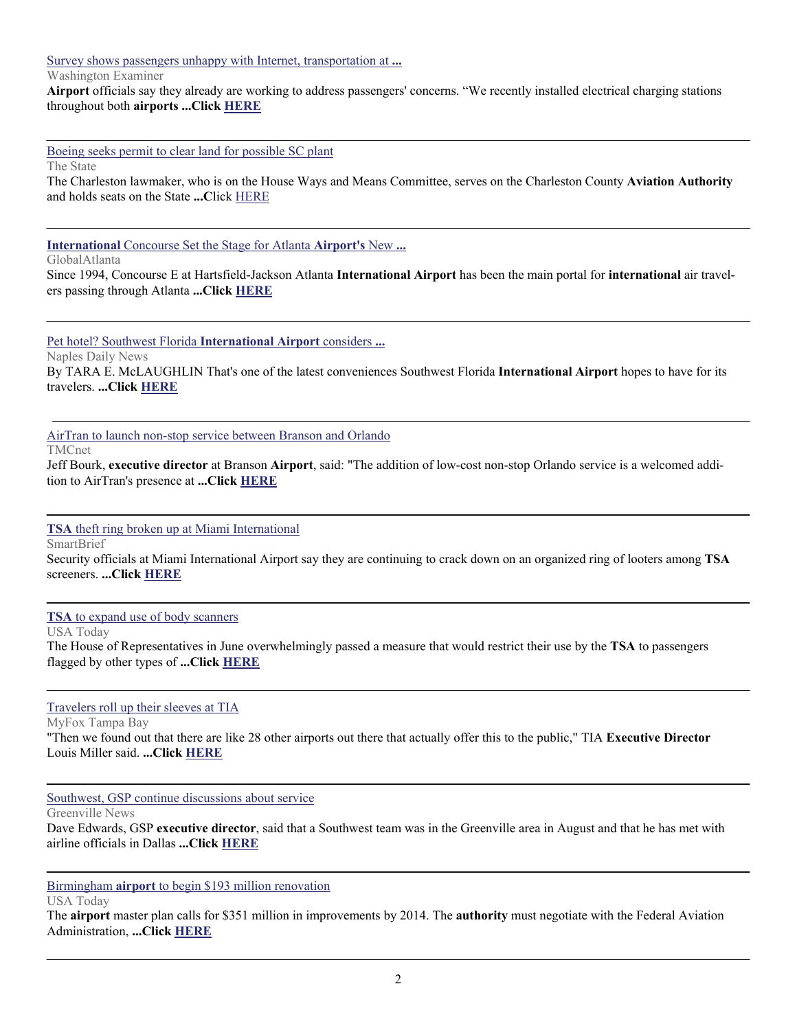[Survey shows passengers unhappy with Internet, transportation at](http://www.google.com/url?sa=X&q=http://www.washingtonexaminer.com/local/Survey-shows-passengers-unhappy-with-Internet-transportation-at-DC-airports-63497812.html&ct=ga&cd=PLDei4pL3c0&usg=AFQjCNHVw5HelVRFVZc_g8_G_eyGC6BKAA) **...**

Washington Examiner

**Airport** officials say they already are working to address passengers' concerns. "We recently installed electrical charging stations throughout both **airports ...Click [HERE](http://www.washingtonexaminer.com/local/Survey-shows-passengers-unhappy-with-Internet-transportation-at-DC-airports-63497812.html)**

[Boeing seeks permit to clear land for possible SC plant](http://www.google.com/url?sa=X&q=http://www.thestate.com/business/story/964350.html&ct=ga&cd=LE2OXCvnQxM&usg=AFQjCNFjMF5PEtaZUiVyOM0TT4RQrnr3Sw)

The State

The Charleston lawmaker, who is on the House Ways and Means Committee, serves on the Charleston County **Aviation Authority** and holds seats on the State **...C**lick [HERE](http://www.thestate.com/business/story/964350.html)

**International** [Concourse Set the Stage for Atlanta](http://www.google.com/url?sa=X&q=http://www.globalatlanta.com/article/21370/&ct=ga&cd=RLA5zA03G8M&usg=AFQjCNE4VdGmkD8GzgvZozxXZFsbmJifdw) **Airport's** New **...**

GlobalAtlanta

Since 1994, Concourse E at Hartsfield-Jackson Atlanta **International Airport** has been the main portal for **international** air travelers passing through Atlanta **...Click [HERE](http://www.globalatlanta.com/article/21370/)**

[Pet hotel? Southwest Florida](http://www.google.com/url?sa=X&q=http://www.naplesnews.com/news/2009/sep/29/pet-hotel-southwest-florida-international-airport-/&ct=ga&cd=z4HHvWXoH38&usg=AFQjCNEYyY5_uhT4zKtPPVL1jVYQE-gdpQ) **International Airport** considers **...**

Naples Daily News

By TARA E. McLAUGHLIN That's one of the latest conveniences Southwest Florida **International Airport** hopes to have for its travelers. **...Click [HERE](http://www.naplesnews.com/news/2009/sep/29/pet-hotel-southwest-florida-international-airport-/)**

[AirTran to launch non-stop service between Branson and Orlando](http://www.google.com/url?sa=X&q=http://www.tmcnet.com/usubmit/-airtran-launch-non-stop-service-between-branson-orlando-/2009/09/30/4397729.htm&ct=ga&cd=s_OsqFBFD9g&usg=AFQjCNEjZIcif8nLF8-xs2aJ_mAz2zPF9w)

TMCnet

Jeff Bourk, **executive director** at Branson **Airport**, said: "The addition of low-cost non-stop Orlando service is a welcomed addition to AirTran's presence at **...Click [HERE](http://www.tmcnet.com/usubmit/-airtran-launch-non-stop-service-between-branson-orlando-/2009/09/30/4397729.htm)**

**TSA** [theft ring broken up at Miami International](http://www.google.com/url?sa=X&q=http://www.smartbrief.com/news/aaae/storyDetails.jsp%3Fissueid%3D76A709C5-DA4F-4BEE-AB93-EEBA593C72D7%26copyid%3D151FAA52-6544-427D-9CFD-F79E7D83DBF3&ct=ga&cd=_ZbFldR2xb0&usg=AFQjCNF-bDymYhI16jxpsMSzhoR-2mB7Cw)

**SmartBrief** 

Security officials at Miami International Airport say they are continuing to crack down on an organized ring of looters among **TSA** screeners. **...Click [HERE](http://www.smartbrief.com/news/aaae/storyDetails.jsp?issueid=76A709C5-DA4F-4BEE-AB93-EEBA593C72D7©id=151FAA52-6544-427D-9CFD-F79E7D83DBF3)**

**TSA** [to expand use of body scanners](http://www.google.com/url?sa=X&q=http://www.usatoday.com/tech/news/surveillance/2009-09-30-backscatter-body-scanners_N.htm&ct=ga&cd=KP3MQqegUl0&usg=AFQjCNF_A994i1J-vtGN0UTI_Y1I1CN5IQ)

USA Today

The House of Representatives in June overwhelmingly passed a measure that would restrict their use by the **TSA** to passengers flagged by other types of **...Click [HERE](http://www.usatoday.com/tech/news/surveillance/2009-09-30-backscatter-body-scanners_N.htm)**

[Travelers roll up their sleeves at TIA](http://www.google.com/url?sa=X&q=http://www.myfoxtampabay.com/dpp/news/local/hillsborough/tampa_international_airport_offers_flu_shots_100109&ct=ga&cd=o53j3TZp8w8&usg=AFQjCNFZPSGsphoCbdQdSjI_omkGBrWFLA)

MyFox Tampa Bay

"Then we found out that there are like 28 other airports out there that actually offer this to the public," TIA **Executive Director** Louis Miller said. **...Click [HERE](http://www.myfoxtampabay.com/dpp/news/local/hillsborough/tampa_international_airport_offers_flu_shots_100109)**

[Southwest, GSP continue discussions about service](http://www.google.com/url?sa=X&q=http://www.greenvilleonline.com/article/20090930/BUSINESS/909300337/1004/news01&ct=ga&cd=o53j3TZp8w8&usg=AFQjCNEEGyG7FtQypCaGrteye6rIb4wmPw)

Greenville News

Dave Edwards, GSP **executive director**, said that a Southwest team was in the Greenville area in August and that he has met with airline officials in Dallas **...Click [HERE](http://www.greenvilleonline.com/article/20090930/BUSINESS/909300337/1004/news01)**

Birmingham **airport** [to begin \\$193 million renovation](http://www.google.com/url?sa=X&q=http://www.usatoday.com/travel/flights/2009-10-05-birmingham-airport-upgrade_N.htm&ct=ga&cd=EHK0nyUzjP4&usg=AFQjCNEecXuyD22qG-zwp2AsiILzSZLImQ)

USA Today

The **airport** master plan calls for \$351 million in improvements by 2014. The **authority** must negotiate with the Federal Aviation Administration, **...Click [HERE](http://www.usatoday.com/travel/flights/2009-10-05-birmingham-airport-upgrade_N.htm)**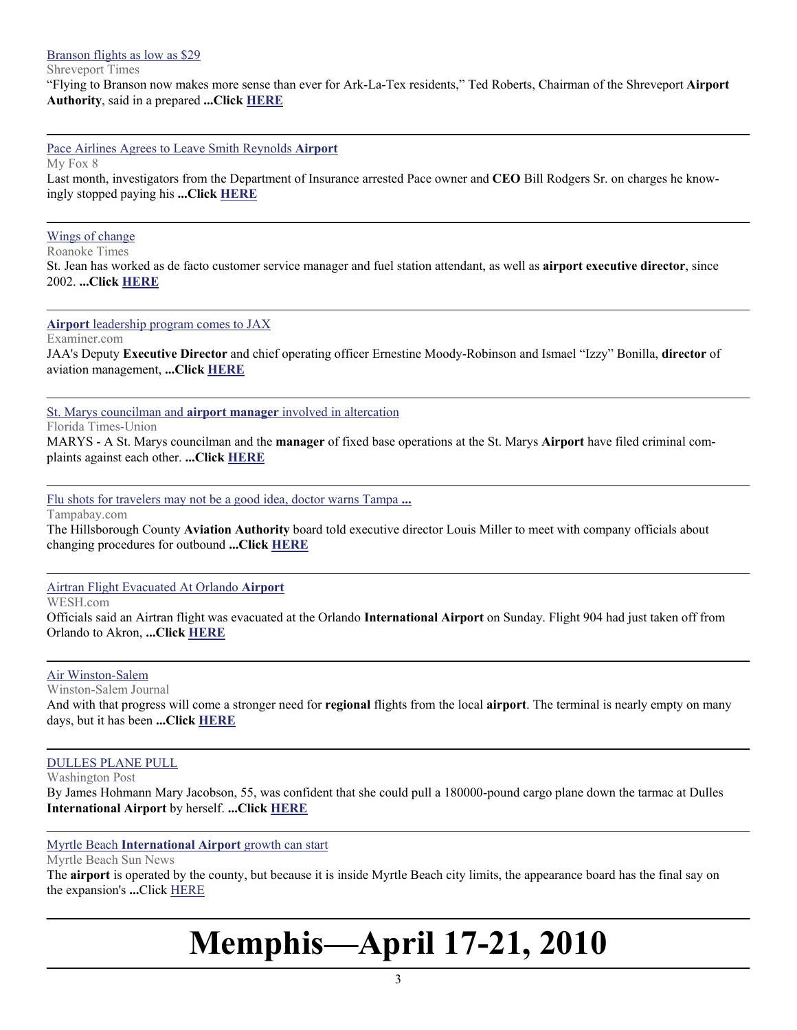[Branson flights as low as \\$29](http://www.google.com/url?sa=X&q=http://www.shreveporttimes.com/article/20091001/NEWS01/91001027&ct=ga&cd=Nj2VsOTnQtY&usg=AFQjCNHvC-iE3L6BJwiMkMLuJC1_1VlOGQ)

Shreveport Times

"Flying to Branson now makes more sense than ever for Ark-La-Tex residents," Ted Roberts, Chairman of the Shreveport **Airport Authority**, said in a prepared **...Click [HERE](http://www.shreveporttimes.com/article/20091001/NEWS01/91001027)**

[Pace Airlines Agrees to Leave Smith Reynolds](http://www.google.com/url?sa=X&q=http://www.myfox8.com/news/wghp-story-pace-airlines-reynoolds-091001,0,431423.story&ct=ga&cd=MOjKpIcBwAs&usg=AFQjCNEs_zemgLgw-On-Km-1w7wHURePxw) **Airport**

My Fox 8

Last month, investigators from the Department of Insurance arrested Pace owner and **CEO** Bill Rodgers Sr. on charges he knowingly stopped paying his **...Click [HERE](http://www.myfox8.com/news/wghp-story-pace-airlines-reynoolds-091001,0,431423.story)**

#### [Wings of change](http://www.google.com/url?sa=X&q=http://www.roanoke.com/news/nrv/wb/221244&ct=ga&cd=BnRJqd1jyyI&usg=AFQjCNGSfWZcJhXe4K66MZjmjD92RNay5w)

Roanoke Times

St. Jean has worked as de facto customer service manager and fuel station attendant, as well as **airport executive director**, since 2002. **...Click [HERE](http://www.roanoke.com/news/nrv/wb/221244)**

**Airport** [leadership program comes to JAX](http://www.google.com/url?sa=X&q=http://www.examiner.com/x-10977-Jacksonville-Transportation-Examiner~y2009m10d2-Airport-leadership-program-comes-to-JAX&ct=ga&cd=dhr4857y9RM&usg=AFQjCNEKMkfvvHfyt8bJLLeCMpC4KnJSrg)

Examiner.com

JAA's Deputy **Executive Director** and chief operating officer Ernestine Moody-Robinson and Ismael "Izzy" Bonilla, **director** of aviation management, **...Click [HERE](http://www.examiner.com/x-10977-Jacksonville-Transportation-Examiner~y2009m10d2-Airport-leadership-program-comes-to-JAX)**

[St. Marys councilman and](http://www.google.com/url?sa=X&q=http://jacksonville.com/news/georgia/2009-10-03/story/st_marys_councilman_and_airport_manager_involved_in_altercation&ct=ga&cd=q-HMjf_6Mtk&usg=AFQjCNEav6dsJCJCTKo1Ew2Jl6KW260kdg) **airport manager** involved in altercation

Florida Times-Union

MARYS - A St. Marys councilman and the **manager** of fixed base operations at the St. Marys **Airport** have filed criminal complaints against each other. **...Click [HERE](http://jacksonville.com/news/georgia/2009-10-03/story/st_marys_councilman_and_airport_manager_involved_in_altercation)**

[Flu shots for travelers may not be a good idea, doctor warns Tampa](http://www.google.com/url?sa=X&q=http://www.tampabay.com/news/business/airlines/flu-shots-for-travelers-may-not-be-a-good-idea-doctor-warns-tampa-airport/1040715&ct=ga&cd=XF58JCNFY5E&usg=AFQjCNGCpwoPAGzLa4QKCMkOIWQjEaJISQ) **...**

Tampabay.com

The Hillsborough County **Aviation Authority** board told executive director Louis Miller to meet with company officials about changing procedures for outbound **...Click [HERE](http://www.tampabay.com/news/business/airlines/flu-shots-for-travelers-may-not-be-a-good-idea-doctor-warns-tampa-airport/1040715)**

#### [Airtran Flight Evacuated At Orlando](http://www.google.com/url?sa=X&q=http://www.wesh.com/news/21199809/detail.html&ct=ga&cd=9eUcY2-6ktE&usg=AFQjCNEUbptghfUAu1qNL83GrN5T8vzVdA) **Airport**

WESH.com

Officials said an Airtran flight was evacuated at the Orlando **International Airport** on Sunday. Flight 904 had just taken off from Orlando to Akron, **...Click [HERE](http://www.wesh.com/news/21199809/detail.html)**

#### [Air Winston-Salem](http://www.google.com/url?sa=X&q=http://www2.journalnow.com/content/2009/oct/04/air-winston-salem/opinion/&ct=ga&cd=3ZMbJfeCOms&usg=AFQjCNFT0F1lwQUPAOcNogt3-QPTHSdRpg)

Winston-Salem Journal

And with that progress will come a stronger need for **regional** flights from the local **airport**. The terminal is nearly empty on many days, but it has been **...Click [HERE](http://www2.journalnow.com/content/2009/oct/04/air-winston-salem/opinion/)**

#### [DULLES PLANE PULL](http://www.google.com/url?sa=X&q=http://www.washingtonpost.com/wp-dyn/content/article/2009/10/03/AR2009100302692.html%3Fhpid%3Dmoreheadlines&ct=ga&cd=UwaL0Hh_2JI&usg=AFQjCNHMctH1-41jpTJ7UieoD3EJrc4q9g)

Washington Post

By James Hohmann Mary Jacobson, 55, was confident that she could pull a 180000-pound cargo plane down the tarmac at Dulles **International Airport** by herself. **...Click [HERE](http://www.washingtonpost.com/wp-dyn/content/article/2009/10/03/AR2009100302692.html?hpid=moreheadlines)**

Myrtle Beach **[International Airport](http://www.google.com/url?sa=X&q=http://www.thesunnews.com/news/local/story/1097393.html&ct=ga&cd=TOA6uybU28A&usg=AFQjCNFF3E-M96ge_6KXlf9CylvIdL72bA)** growth can start

Myrtle Beach Sun News

The **airport** is operated by the county, but because it is inside Myrtle Beach city limits, the appearance board has the final say on the expansion's **...**Click [HERE](http://www.thesunnews.com/news/local/story/1097393.html)

## **Memphis—April 17-21, 2010**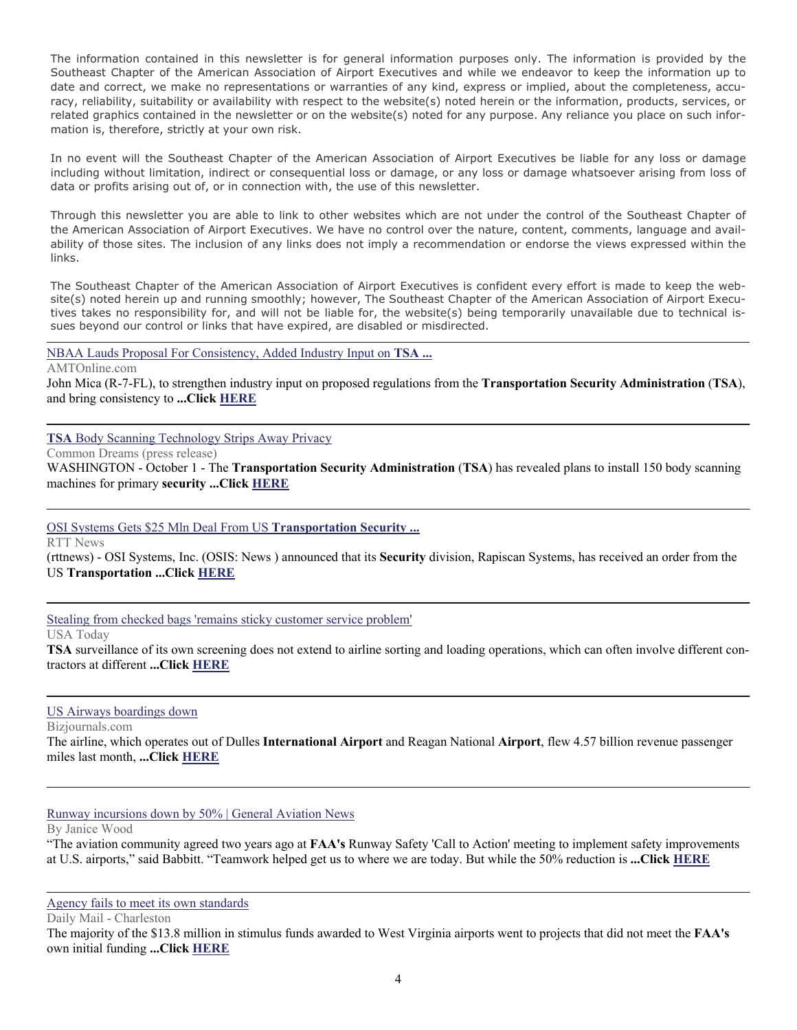The information contained in this newsletter is for general information purposes only. The information is provided by the Southeast Chapter of the American Association of Airport Executives and while we endeavor to keep the information up to date and correct, we make no representations or warranties of any kind, express or implied, about the completeness, accuracy, reliability, suitability or availability with respect to the website(s) noted herein or the information, products, services, or related graphics contained in the newsletter or on the website(s) noted for any purpose. Any reliance you place on such information is, therefore, strictly at your own risk.

In no event will the Southeast Chapter of the American Association of Airport Executives be liable for any loss or damage including without limitation, indirect or consequential loss or damage, or any loss or damage whatsoever arising from loss of data or profits arising out of, or in connection with, the use of this newsletter.

Through this newsletter you are able to link to other websites which are not under the control of the Southeast Chapter of the American Association of Airport Executives. We have no control over the nature, content, comments, language and availability of those sites. The inclusion of any links does not imply a recommendation or endorse the views expressed within the links.

The Southeast Chapter of the American Association of Airport Executives is confident every effort is made to keep the website(s) noted herein up and running smoothly; however, The Southeast Chapter of the American Association of Airport Executives takes no responsibility for, and will not be liable for, the website(s) being temporarily unavailable due to technical issues beyond our control or links that have expired, are disabled or misdirected.

[NBAA Lauds Proposal For Consistency, Added Industry Input on](http://www.google.com/url?sa=X&q=http://www.amtonline.com/article/article.jsp%3FsiteSection%3D1%26id%3D9382&ct=ga&cd=N49QPs6pmhs&usg=AFQjCNFCpIMb0gu26z1R1tSco7xW9hVWtg) **TSA ...**

AMTOnline.com

John Mica (R-7-FL), to strengthen industry input on proposed regulations from the **Transportation Security Administration** (**TSA**), and bring consistency to **...Click [HERE](http://www.amtonline.com/article/article.jsp?siteSection=1&id=9382)**

**TSA** [Body Scanning Technology Strips Away Privacy](http://www.google.com/url?sa=X&q=http://www.commondreams.org/newswire/2009/10/01-16&ct=ga&cd=bJi3KlBCwvo&usg=AFQjCNG3f0LEEip-ixKawD8Y3HsVaSZkQA)

Common Dreams (press release)

WASHINGTON - October 1 - The **Transportation Security Administration** (**TSA**) has revealed plans to install 150 body scanning machines for primary **security ...Click [HERE](http://www.commondreams.org/newswire/2009/10/01-16)**

[OSI Systems Gets \\$25 Mln Deal From US](http://www.google.com/url?sa=X&q=http://www.rttnews.com/Content/QuickFacts.aspx%3FNode%3DB1%26Id%3D1082216%2520%26Category%3DQuick%2520Facts&ct=ga&cd=PcskUyCuEq0&usg=AFQjCNF9Am54n6wxnzocrbf0Y6pDC-Yvng) **Transportation Security ...**

RTT News

(rttnews) - OSI Systems, Inc. (OSIS: News ) announced that its **Security** division, Rapiscan Systems, has received an order from the US **Transportation ...Click [HERE](http://www.rttnews.com/Content/QuickFacts.aspx?Node=B1&Id=1082216%20&Category=Quick%20Facts)**

[Stealing from checked bags 'remains sticky customer service problem'](http://www.google.com/url?sa=X&q=http://www.usatoday.com/travel/flights/item.aspx%3Ftype%3Dblog%26ak%3D68500341.blog&ct=ga&cd=XhP-2zkZD-A&usg=AFQjCNEg1N7AtqJKVXZTT0qjmpZr6lEM7Q)

#### USA Today

**TSA** surveillance of its own screening does not extend to airline sorting and loading operations, which can often involve different contractors at different **...Click [HERE](http://www.usatoday.com/travel/flights/item.aspx?type=blog&ak=68500341.blog)**

#### [US Airways boardings down](http://www.google.com/url?sa=X&q=http://www.bizjournals.com/washington/stories/2009/10/05/daily3.html&ct=ga&cd=W3FflWSbtlY&usg=AFQjCNFeLE31wuZ1u5loX345S-ysbRTADA)

Bizjournals.com

The airline, which operates out of Dulles **International Airport** and Reagan National **Airport**, flew 4.57 billion revenue passenger miles last month, **...Click [HERE](http://washington.bizjournals.com/washington/stories/2009/10/05/daily3.html)**

[Runway incursions down by 50% | General Aviation News](http://www.google.com/url?sa=X&q=http://www.generalaviationnews.com/%3Fp%3D13863&ct=ga&cd=TVx-Ra5ICAU&usg=AFQjCNGExUzruKefr3kwqk0rKBAPZGMqkw)

By Janice Wood

"The aviation community agreed two years ago at **FAA's** Runway Safety 'Call to Action' meeting to implement safety improvements at U.S. airports," said Babbitt. "Teamwork helped get us to where we are today. But while the 50% reduction is **...Click [HERE](http://www.generalaviationnews.com/?p=13863)**

[Agency fails to meet its own standards](http://www.google.com/url?sa=X&q=http://www.dailymail.com/topStories/News/200910120784&ct=ga&cd=SqPecNEu3qM&usg=AFQjCNEbgh04Rtm3HCd2lU8dJqSyQI_M_A)

Daily Mail - Charleston

The majority of the \$13.8 million in stimulus funds awarded to West Virginia airports went to projects that did not meet the **FAA's** own initial funding **...Click [HERE](http://www.dailymail.com/News/200910120784)**